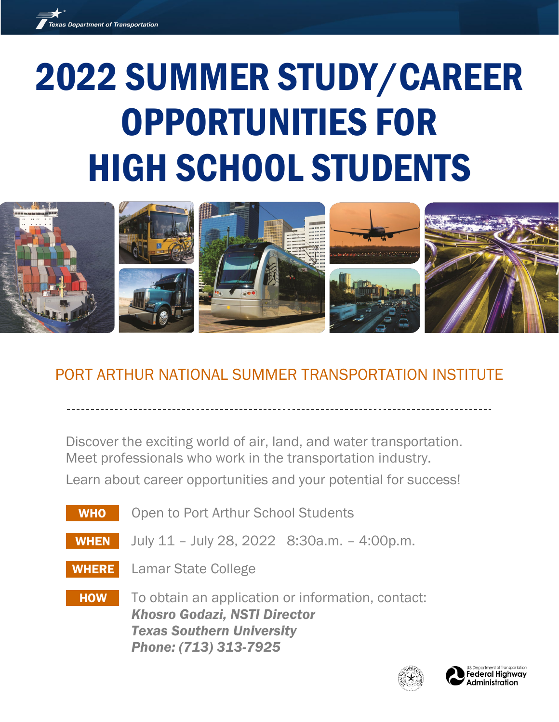

# 2022 SUMMER STUDY/CAREER OPPORTUNITIES FOR HIGH SCHOOL STUDENTS



# PORT ARTHUR NATIONAL SUMMER TRANSPORTATION INSTITUTE

Discover the exciting world of air, land, and water transportation. Meet professionals who work in the transportation industry. Learn about career opportunities and your potential for success!

WHO Open to Port Arthur School Students WHEN July 11 – July 28, 2022 8:30a.m. – 4:00p.m. WHERE Lamar State College **HOW** To obtain an application or information, contact: *Khosro Godazi, NSTI Director Texas Southern University Phone: (713) 313-7925*



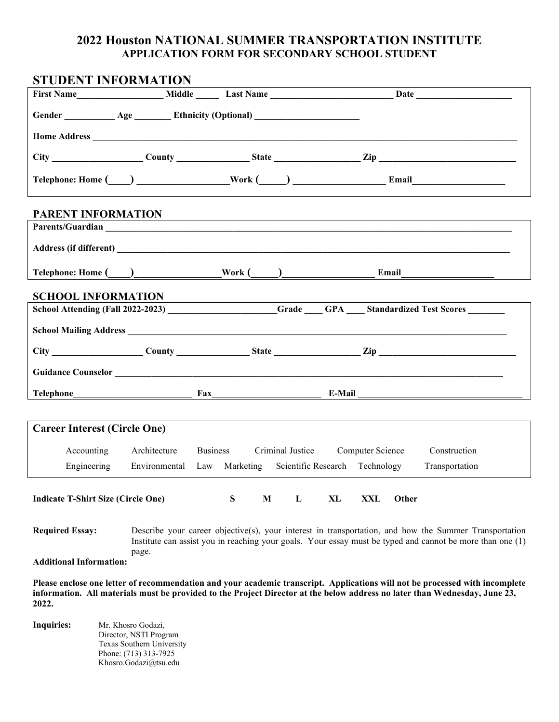## **2022 Houston NATIONAL SUMMER TRANSPORTATION INSTITUTE APPLICATION FORM FOR SECONDARY SCHOOL STUDENT**

| <b>STUDENT INFORMATION</b>                                                                                                                                                                                                                                          |                                              |                                                            |                                                                                            |  |  |  |  |
|---------------------------------------------------------------------------------------------------------------------------------------------------------------------------------------------------------------------------------------------------------------------|----------------------------------------------|------------------------------------------------------------|--------------------------------------------------------------------------------------------|--|--|--|--|
|                                                                                                                                                                                                                                                                     |                                              |                                                            |                                                                                            |  |  |  |  |
| Gender ____________ Age _________ Ethnicity (Optional) _________________________                                                                                                                                                                                    |                                              |                                                            |                                                                                            |  |  |  |  |
|                                                                                                                                                                                                                                                                     |                                              |                                                            |                                                                                            |  |  |  |  |
|                                                                                                                                                                                                                                                                     |                                              |                                                            | County County State Zip                                                                    |  |  |  |  |
|                                                                                                                                                                                                                                                                     |                                              |                                                            |                                                                                            |  |  |  |  |
| PARENT INFORMATION                                                                                                                                                                                                                                                  |                                              |                                                            |                                                                                            |  |  |  |  |
|                                                                                                                                                                                                                                                                     |                                              |                                                            |                                                                                            |  |  |  |  |
|                                                                                                                                                                                                                                                                     |                                              |                                                            |                                                                                            |  |  |  |  |
|                                                                                                                                                                                                                                                                     |                                              | Telephone: Home ( ) Work ( ) Now Research 2014 [ Email     |                                                                                            |  |  |  |  |
| <b>SCHOOL INFORMATION</b>                                                                                                                                                                                                                                           |                                              |                                                            |                                                                                            |  |  |  |  |
|                                                                                                                                                                                                                                                                     |                                              |                                                            | SCHOOL INFORMATION<br>School Attending (Fall 2022-2023) Grade GPA Standardized Test Scores |  |  |  |  |
| <b>School Mailing Address Service School School Mailing Address</b>                                                                                                                                                                                                 |                                              |                                                            |                                                                                            |  |  |  |  |
|                                                                                                                                                                                                                                                                     |                                              |                                                            |                                                                                            |  |  |  |  |
|                                                                                                                                                                                                                                                                     |                                              |                                                            |                                                                                            |  |  |  |  |
|                                                                                                                                                                                                                                                                     |                                              |                                                            |                                                                                            |  |  |  |  |
|                                                                                                                                                                                                                                                                     |                                              |                                                            |                                                                                            |  |  |  |  |
| <b>Career Interest (Circle One)</b>                                                                                                                                                                                                                                 |                                              |                                                            |                                                                                            |  |  |  |  |
| Accounting                                                                                                                                                                                                                                                          |                                              | Architecture Business Criminal Justice Computer Science    | Construction                                                                               |  |  |  |  |
| Engineering                                                                                                                                                                                                                                                         |                                              | Environmental Law Marketing Scientific Research Technology | Transportation                                                                             |  |  |  |  |
| S<br>M<br>L<br>XL<br>XXL<br>Other<br><b>Indicate T-Shirt Size (Circle One)</b>                                                                                                                                                                                      |                                              |                                                            |                                                                                            |  |  |  |  |
| <b>Required Essay:</b><br>Describe your career objective(s), your interest in transportation, and how the Summer Transportation<br>Institute can assist you in reaching your goals. Your essay must be typed and cannot be more than one (1)                        |                                              |                                                            |                                                                                            |  |  |  |  |
| page.<br><b>Additional Information:</b>                                                                                                                                                                                                                             |                                              |                                                            |                                                                                            |  |  |  |  |
| Please enclose one letter of recommendation and your academic transcript. Applications will not be processed with incomplete<br>information. All materials must be provided to the Project Director at the below address no later than Wednesday, June 23,<br>2022. |                                              |                                                            |                                                                                            |  |  |  |  |
| <b>Inquiries:</b>                                                                                                                                                                                                                                                   | Mr. Khosro Godazi,<br>Director, NSTI Program |                                                            |                                                                                            |  |  |  |  |

 Texas Southern University Phone: (713) 313-7925 Khosro.Godazi@tsu.edu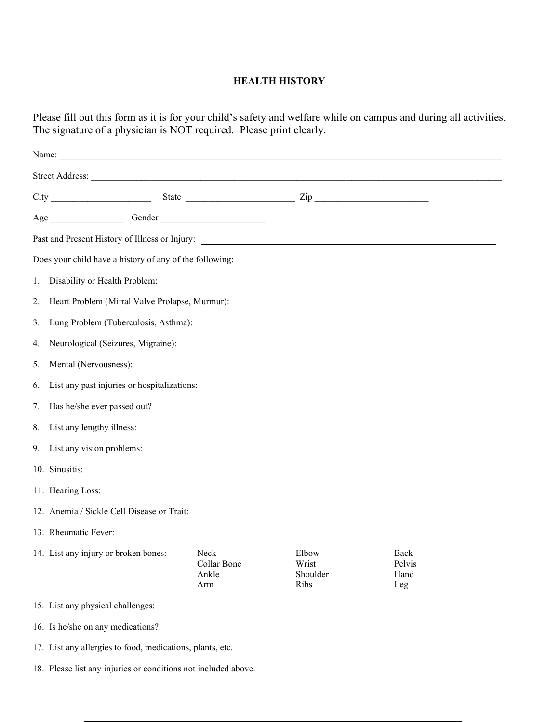### **HEALTH HISTORY**

Please fill out this form as it is for your child's safety and welfare while on campus and during all activities. The signature of a physician is NOT required. Please print clearly.

| Does your child have a history of any of the following: |                                                |                                     |                                    |                               |  |  |  |  |
|---------------------------------------------------------|------------------------------------------------|-------------------------------------|------------------------------------|-------------------------------|--|--|--|--|
| 1.                                                      | Disability or Health Problem:                  |                                     |                                    |                               |  |  |  |  |
| 2.                                                      | Heart Problem (Mitral Valve Prolapse, Murmur): |                                     |                                    |                               |  |  |  |  |
| 3.                                                      | Lung Problem (Tuberculosis, Asthma):           |                                     |                                    |                               |  |  |  |  |
| 4.                                                      | Neurological (Seizures, Migraine):             |                                     |                                    |                               |  |  |  |  |
| 5.                                                      | Mental (Nervousness):                          |                                     |                                    |                               |  |  |  |  |
| 6.                                                      | List any past injuries or hospitalizations:    |                                     |                                    |                               |  |  |  |  |
| 7.                                                      | Has he/she ever passed out?                    |                                     |                                    |                               |  |  |  |  |
| 8.                                                      | List any lengthy illness:                      |                                     |                                    |                               |  |  |  |  |
| 9.                                                      | List any vision problems:                      |                                     |                                    |                               |  |  |  |  |
|                                                         | 10. Sinusitis:                                 |                                     |                                    |                               |  |  |  |  |
|                                                         | 11. Hearing Loss:                              |                                     |                                    |                               |  |  |  |  |
|                                                         | 12. Anemia / Sickle Cell Disease or Trait:     |                                     |                                    |                               |  |  |  |  |
| 13. Rheumatic Fever:                                    |                                                |                                     |                                    |                               |  |  |  |  |
|                                                         | 14. List any injury or broken bones:           | Neck<br>Collar Bone<br>Ankle<br>Arm | Elbow<br>Wrist<br>Shoulder<br>Ribs | Back<br>Pelvis<br>Hand<br>Leg |  |  |  |  |
|                                                         | 15. List any physical challenges:              |                                     |                                    |                               |  |  |  |  |
|                                                         | 16. Is he/she on any medications?              |                                     |                                    |                               |  |  |  |  |

- 17. List any allergies to food, medications, plants, etc.
- 18. Please list any injuries or conditions not included above.